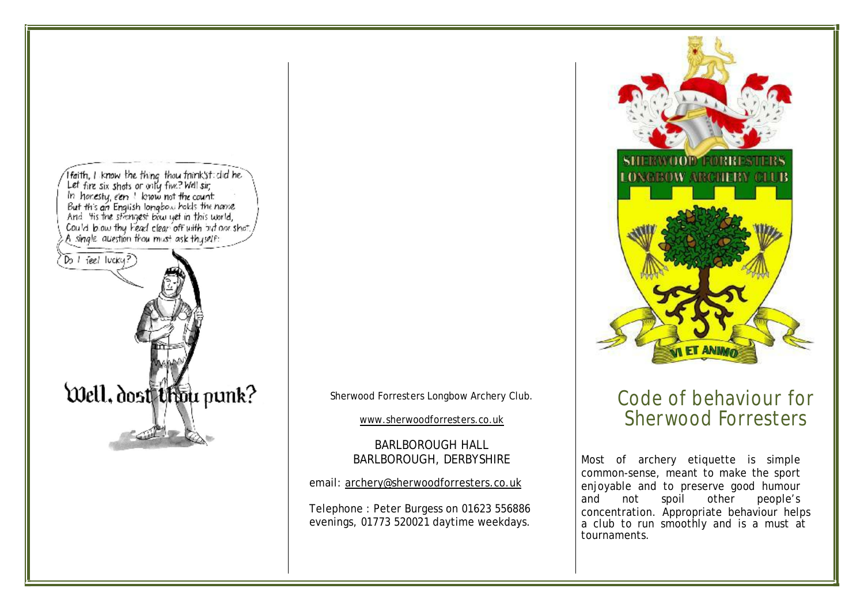

Sherwood Forresters Longbow Archery Club.

[www.sherwoodforresters.co.uk](http://www.sherwoodforresters.co.uk)

BARLBOROUGH HALL BARLBOROUGH, DERBYSHIRE

email: [archery@sherwoodforresters.co.uk](mailto:archery@sherwoodforresters.co.uk)

Telephone : Peter Burgess on 01623 556886 evenings, 01773 520021 daytime weekdays.



## Code of behaviour for Sherwood Forresters

Most of archery etiquette is simple common-sense, meant to make the sport enjoyable and to preserve good humour and not spoil other people's concentration. Appropriate behaviour helps a club to run smoothly and is a must at tournaments.